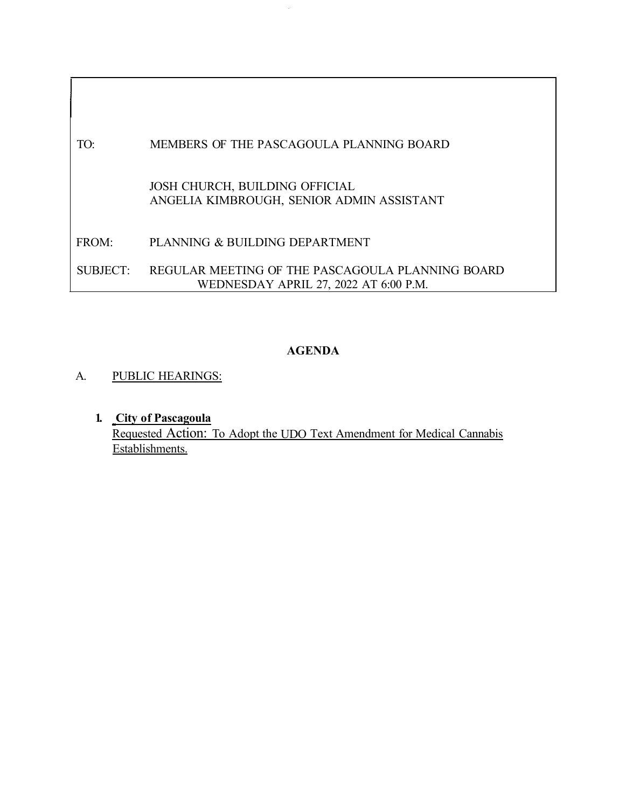# TO: MEMBERS OF THE PASCAGOULA PLANNING BOARD JOSH CHURCH, BUILDING OFFICIAL ANGELIA KIMBROUGH, SENIOR ADMIN ASSISTANT FROM: PLANNING & BUILDING DEPARTMENT SUBJECT: REGULAR MEETING OF THE PASCAGOULA PLANNING BOARD WEDNESDAY APRIL 27, 2022 AT 6:00 P.M.

# **AGENDA**

## A. PUBLIC HEARINGS:

**1. City of Pascagoula** Requested Action: To Adopt the UDO Text Amendment for Medical Cannabis Establishments.